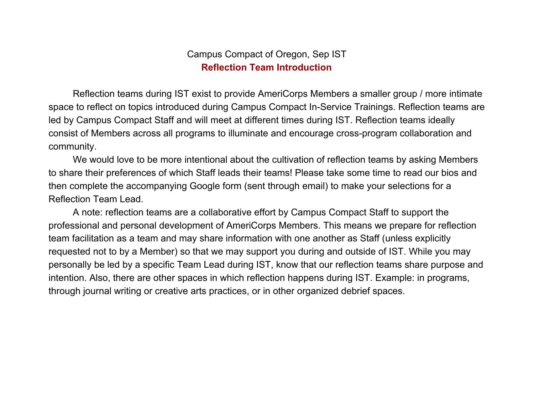# Campus Compact of Oregon, Sep IST **Reflection Team Introduction**

Reflection teams during IST exist to provide AmeriCorps Members a smaller group / more intimate space to reflect on topics introduced during Campus Compact In-Service Trainings. Reflection teams are led by Campus Compact Staff and will meet at different times during IST. Reflection teams ideally consist of Members across all programs to illuminate and encourage cross-program collaboration and community.

We would love to be more intentional about the cultivation of reflection teams by asking Members to share their preferences of which Staff leads their teams! Please take some time to read our bios and then complete the accompanying Google form (sent through email) to make your selections for a Reflection Team Lead.

A note: reflection teams are a collaborative effort by Campus Compact Staff to support the professional and personal development of AmeriCorps Members. This means we prepare for reflection team facilitation as a team and may share information with one another as Staff (unless explicitly requested not to by a Member) so that we may support you during and outside of IST. While you may personally be led by a specific Team Lead during IST, know that our reflection teams share purpose and intention. Also, there are other spaces in which reflection happens during IST. Example: in programs, through journal writing or creative arts practices, or in other organized debrief spaces.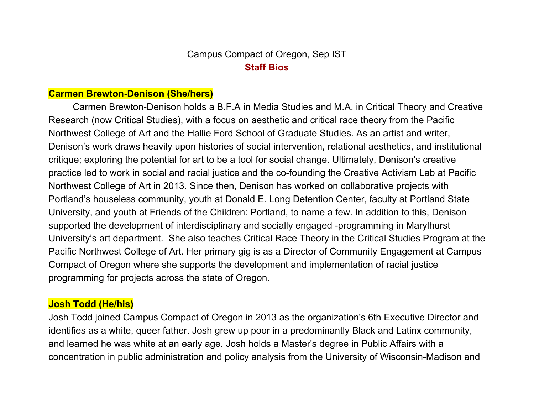# Campus Compact of Oregon, Sep IST **Staff Bios**

### **Carmen Brewton-Denison (She/hers)**

Carmen Brewton-Denison holds a B.F.A in Media Studies and M.A. in Critical Theory and Creative Research (now Critical Studies), with a focus on aesthetic and critical race theory from the Pacific Northwest College of Art and the Hallie Ford School of Graduate Studies. As an artist and writer, Denison's work draws heavily upon histories of social intervention, relational aesthetics, and institutional critique; exploring the potential for art to be a tool for social change. Ultimately, Denison's creative practice led to work in social and racial justice and the co-founding the Creative Activism Lab at Pacific Northwest College of Art in 2013. Since then, Denison has worked on collaborative projects with Portland's houseless community, youth at Donald E. Long Detention Center, faculty at Portland State University, and youth at Friends of the Children: Portland, to name a few. In addition to this, Denison supported the development of interdisciplinary and socially engaged -programming in Marylhurst University's art department. She also teaches Critical Race Theory in the Critical Studies Program at the Pacific Northwest College of Art. Her primary gig is as a Director of Community Engagement at Campus Compact of Oregon where she supports the development and implementation of racial justice programming for projects across the state of Oregon.

### **Josh Todd (He/his)**

Josh Todd joined Campus Compact of Oregon in 2013 as the organization's 6th Executive Director and identifies as a white, queer father. Josh grew up poor in a predominantly Black and Latinx community, and learned he was white at an early age. Josh holds a Master's degree in Public Affairs with a concentration in public administration and policy analysis from the University of Wisconsin-Madison and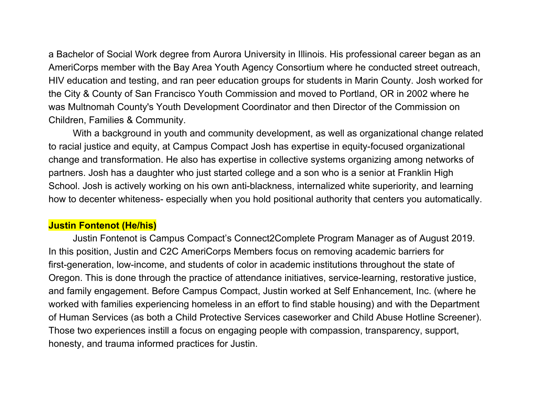a Bachelor of Social Work degree from Aurora University in Illinois. His professional career began as an AmeriCorps member with the Bay Area Youth Agency Consortium where he conducted street outreach, HIV education and testing, and ran peer education groups for students in Marin County. Josh worked for the City & County of San Francisco Youth Commission and moved to Portland, OR in 2002 where he was Multnomah County's Youth Development Coordinator and then Director of the Commission on Children, Families & Community.

With a background in youth and community development, as well as organizational change related to racial justice and equity, at Campus Compact Josh has expertise in equity-focused organizational change and transformation. He also has expertise in collective systems organizing among networks of partners. Josh has a daughter who just started college and a son who is a senior at Franklin High School. Josh is actively working on his own anti-blackness, internalized white superiority, and learning how to decenter whiteness- especially when you hold positional authority that centers you automatically.

### **Justin Fontenot (He/his)**

Justin Fontenot is Campus Compact's Connect2Complete Program Manager as of August 2019. In this position, Justin and C2C AmeriCorps Members focus on removing academic barriers for first-generation, low-income, and students of color in academic institutions throughout the state of Oregon. This is done through the practice of attendance initiatives, service-learning, restorative justice, and family engagement. Before Campus Compact, Justin worked at Self Enhancement, Inc. (where he worked with families experiencing homeless in an effort to find stable housing) and with the Department of Human Services (as both a Child Protective Services caseworker and Child Abuse Hotline Screener). Those two experiences instill a focus on engaging people with compassion, transparency, support, honesty, and trauma informed practices for Justin.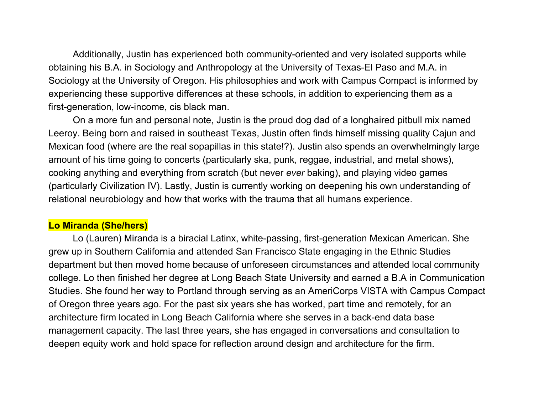Additionally, Justin has experienced both community-oriented and very isolated supports while obtaining his B.A. in Sociology and Anthropology at the University of Texas-El Paso and M.A. in Sociology at the University of Oregon. His philosophies and work with Campus Compact is informed by experiencing these supportive differences at these schools, in addition to experiencing them as a first-generation, low-income, cis black man.

On a more fun and personal note, Justin is the proud dog dad of a longhaired pitbull mix named Leeroy. Being born and raised in southeast Texas, Justin often finds himself missing quality Cajun and Mexican food (where are the real sopapillas in this state!?). Justin also spends an overwhelmingly large amount of his time going to concerts (particularly ska, punk, reggae, industrial, and metal shows), cooking anything and everything from scratch (but never *ever* baking), and playing video games (particularly Civilization IV). Lastly, Justin is currently working on deepening his own understanding of relational neurobiology and how that works with the trauma that all humans experience.

### **Lo Miranda (She/hers)**

Lo (Lauren) Miranda is a biracial Latinx, white-passing, first-generation Mexican American. She grew up in Southern California and attended San Francisco State engaging in the Ethnic Studies department but then moved home because of unforeseen circumstances and attended local community college. Lo then finished her degree at Long Beach State University and earned a B.A in Communication Studies. She found her way to Portland through serving as an AmeriCorps VISTA with Campus Compact of Oregon three years ago. For the past six years she has worked, part time and remotely, for an architecture firm located in Long Beach California where she serves in a back-end data base management capacity. The last three years, she has engaged in conversations and consultation to deepen equity work and hold space for reflection around design and architecture for the firm.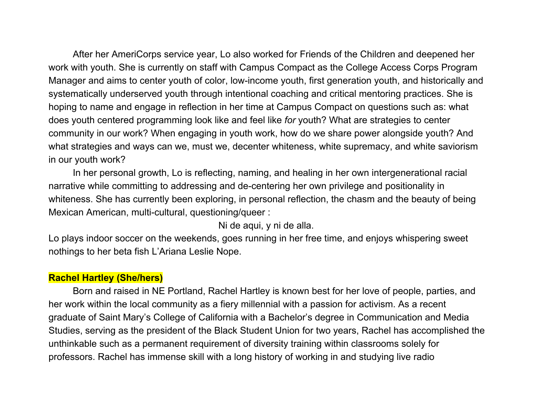After her AmeriCorps service year, Lo also worked for Friends of the Children and deepened her work with youth. She is currently on staff with Campus Compact as the College Access Corps Program Manager and aims to center youth of color, low-income youth, first generation youth, and historically and systematically underserved youth through intentional coaching and critical mentoring practices. She is hoping to name and engage in reflection in her time at Campus Compact on questions such as: what does youth centered programming look like and feel like *for* youth? What are strategies to center community in our work? When engaging in youth work, how do we share power alongside youth? And what strategies and ways can we, must we, decenter whiteness, white supremacy, and white saviorism in our youth work?

In her personal growth, Lo is reflecting, naming, and healing in her own intergenerational racial narrative while committing to addressing and de-centering her own privilege and positionality in whiteness. She has currently been exploring, in personal reflection, the chasm and the beauty of being Mexican American, multi-cultural, questioning/queer :

Ni de aqui, y ni de alla.

Lo plays indoor soccer on the weekends, goes running in her free time, and enjoys whispering sweet nothings to her beta fish L'Ariana Leslie Nope.

## **Rachel Hartley (She/hers)**

Born and raised in NE Portland, Rachel Hartley is known best for her love of people, parties, and her work within the local community as a fiery millennial with a passion for activism. As a recent graduate of Saint Mary's College of California with a Bachelor's degree in Communication and Media Studies, serving as the president of the Black Student Union for two years, Rachel has accomplished the unthinkable such as a permanent requirement of diversity training within classrooms solely for professors. Rachel has immense skill with a long history of working in and studying live radio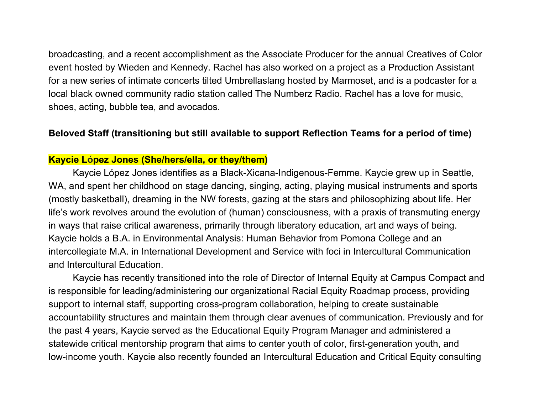broadcasting, and a recent accomplishment as the Associate Producer for the annual Creatives of Color event hosted by Wieden and Kennedy. Rachel has also worked on a project as a Production Assistant for a new series of intimate concerts tilted Umbrellaslang hosted by Marmoset, and is a podcaster for a local black owned community radio station called The Numberz Radio. Rachel has a love for music, shoes, acting, bubble tea, and avocados.

#### **Beloved Staff (transitioning but still available to support Reflection Teams for a period of time)**

### **Kaycie López Jones (She/hers/ella, or they/them)**

Kaycie López Jones identifies as a Black-Xicana-Indigenous-Femme. Kaycie grew up in Seattle, WA, and spent her childhood on stage dancing, singing, acting, playing musical instruments and sports (mostly basketball), dreaming in the NW forests, gazing at the stars and philosophizing about life. Her life's work revolves around the evolution of (human) consciousness, with a praxis of transmuting energy in ways that raise critical awareness, primarily through liberatory education, art and ways of being. Kaycie holds a B.A. in Environmental Analysis: Human Behavior from Pomona College and an intercollegiate M.A. in International Development and Service with foci in Intercultural Communication and Intercultural Education.

Kaycie has recently transitioned into the role of Director of Internal Equity at Campus Compact and is responsible for leading/administering our organizational Racial Equity Roadmap process, providing support to internal staff, supporting cross-program collaboration, helping to create sustainable accountability structures and maintain them through clear avenues of communication. Previously and for the past 4 years, Kaycie served as the Educational Equity Program Manager and administered a statewide critical mentorship program that aims to center youth of color, first-generation youth, and low-income youth. Kaycie also recently founded an Intercultural Education and Critical Equity consulting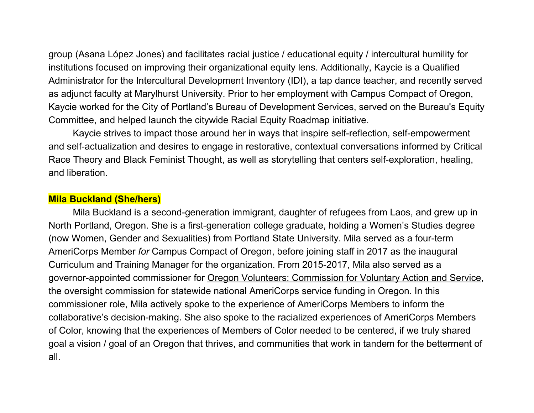group (Asana López Jones) and facilitates racial justice / educational equity / intercultural humility for institutions focused on improving their organizational equity lens. Additionally, Kaycie is a Qualified Administrator for the Intercultural Development Inventory (IDI), a tap dance teacher, and recently served as adjunct faculty at Marylhurst University. Prior to her employment with Campus Compact of Oregon, Kaycie worked for the City of Portland's Bureau of Development Services, served on the Bureau's Equity Committee, and helped launch the citywide Racial Equity Roadmap initiative.

Kaycie strives to impact those around her in ways that inspire self-reflection, self-empowerment and self-actualization and desires to engage in restorative, contextual conversations informed by Critical Race Theory and Black Feminist Thought, as well as storytelling that centers self-exploration, healing, and liberation.

#### **Mila Buckland (She/hers)**

Mila Buckland is a second-generation immigrant, daughter of refugees from Laos, and grew up in North Portland, Oregon. She is a first-generation college graduate, holding a Women's Studies degree (now Women, Gender and Sexualities) from Portland State University. Mila served as a four-term AmeriCorps Member *for* Campus Compact of Oregon, before joining staff in 2017 as the inaugural Curriculum and Training Manager for the organization. From 2015-2017, Mila also served as a governor-appointed commissioner for Oregon Volunteers: Commission for Voluntary Action and Service, the oversight commission for statewide national AmeriCorps service funding in Oregon. In this commissioner role, Mila actively spoke to the experience of AmeriCorps Members to inform the collaborative's decision-making. She also spoke to the racialized experiences of AmeriCorps Members of Color, knowing that the experiences of Members of Color needed to be centered, if we truly shared goal a vision / goal of an Oregon that thrives, and communities that work in tandem for the betterment of all.